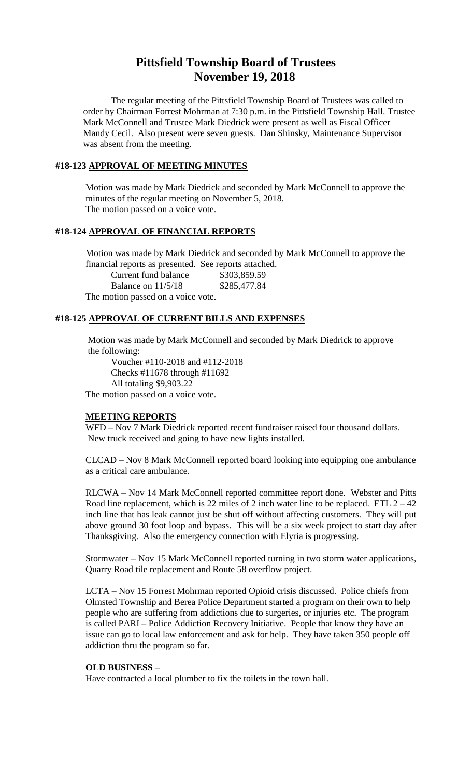# **Pittsfield Township Board of Trustees November 19, 2018**

The regular meeting of the Pittsfield Township Board of Trustees was called to order by Chairman Forrest Mohrman at 7:30 p.m. in the Pittsfield Township Hall. Trustee Mark McConnell and Trustee Mark Diedrick were present as well as Fiscal Officer Mandy Cecil. Also present were seven guests. Dan Shinsky, Maintenance Supervisor was absent from the meeting.

### **#18-123 APPROVAL OF MEETING MINUTES**

Motion was made by Mark Diedrick and seconded by Mark McConnell to approve the minutes of the regular meeting on November 5, 2018. The motion passed on a voice vote.

# **#18-124 APPROVAL OF FINANCIAL REPORTS**

Motion was made by Mark Diedrick and seconded by Mark McConnell to approve the financial reports as presented. See reports attached.

| Current fund balance               | \$303,859.59 |
|------------------------------------|--------------|
| Balance on $11/5/18$               | \$285,477.84 |
| The motion passed on a voice vote. |              |

# **#18-125 APPROVAL OF CURRENT BILLS AND EXPENSES**

Motion was made by Mark McConnell and seconded by Mark Diedrick to approve the following:

Voucher #110-2018 and #112-2018 Checks #11678 through #11692 All totaling \$9,903.22 The motion passed on a voice vote.

# **MEETING REPORTS**

WFD – Nov 7 Mark Diedrick reported recent fundraiser raised four thousand dollars. New truck received and going to have new lights installed.

CLCAD – Nov 8 Mark McConnell reported board looking into equipping one ambulance as a critical care ambulance.

RLCWA – Nov 14 Mark McConnell reported committee report done. Webster and Pitts Road line replacement, which is 22 miles of 2 inch water line to be replaced. ETL  $2 - 42$ inch line that has leak cannot just be shut off without affecting customers. They will put above ground 30 foot loop and bypass. This will be a six week project to start day after Thanksgiving. Also the emergency connection with Elyria is progressing.

Stormwater – Nov 15 Mark McConnell reported turning in two storm water applications, Quarry Road tile replacement and Route 58 overflow project.

LCTA – Nov 15 Forrest Mohrman reported Opioid crisis discussed. Police chiefs from Olmsted Township and Berea Police Department started a program on their own to help people who are suffering from addictions due to surgeries, or injuries etc. The program is called PARI – Police Addiction Recovery Initiative. People that know they have an issue can go to local law enforcement and ask for help. They have taken 350 people off addiction thru the program so far.

### **OLD BUSINESS** –

Have contracted a local plumber to fix the toilets in the town hall.